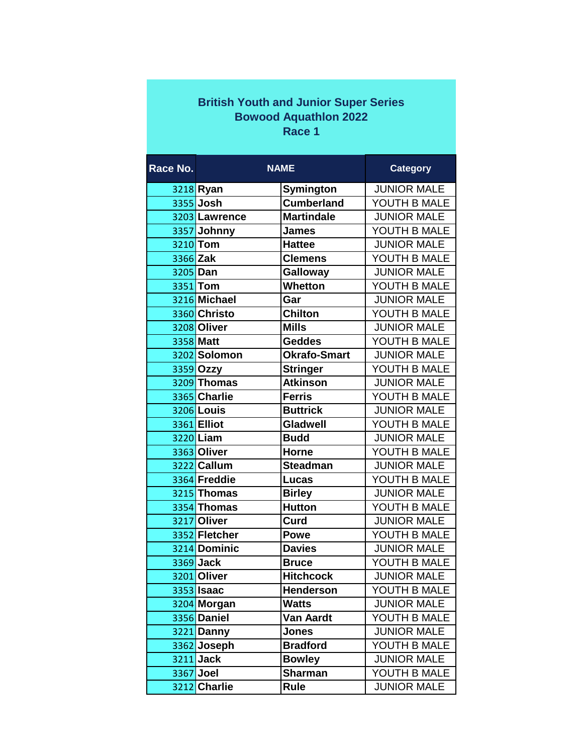| <b>British Youth and Junior Super Series</b><br><b>Bowood Aquathlon 2022</b><br>Race 1 |                   |                     |                    |  |
|----------------------------------------------------------------------------------------|-------------------|---------------------|--------------------|--|
|                                                                                        |                   |                     |                    |  |
| Race No.                                                                               |                   | <b>NAME</b>         | <b>Category</b>    |  |
|                                                                                        | 3218 Ryan         | Symington           | <b>JUNIOR MALE</b> |  |
|                                                                                        | 3355 Josh         | <b>Cumberland</b>   | YOUTH B MALE       |  |
|                                                                                        | 3203 Lawrence     | <b>Martindale</b>   | <b>JUNIOR MALE</b> |  |
|                                                                                        | 3357 Johnny       | <b>James</b>        | YOUTH B MALE       |  |
|                                                                                        | 3210 Tom          | <b>Hattee</b>       | <b>JUNIOR MALE</b> |  |
| 3366 Zak                                                                               |                   | <b>Clemens</b>      | YOUTH B MALE       |  |
| 3205 Dan                                                                               |                   | Galloway            | <b>JUNIOR MALE</b> |  |
|                                                                                        | 3351 Tom          | <b>Whetton</b>      | YOUTH B MALE       |  |
|                                                                                        | 3216 Michael      | Gar                 | <b>JUNIOR MALE</b> |  |
|                                                                                        | 3360 Christo      | <b>Chilton</b>      | YOUTH B MALE       |  |
|                                                                                        | 3208 Oliver       | <b>Mills</b>        | <b>JUNIOR MALE</b> |  |
|                                                                                        | 3358 Matt         | <b>Geddes</b>       | YOUTH B MALE       |  |
|                                                                                        | 3202 Solomon      | <b>Okrafo-Smart</b> | <b>JUNIOR MALE</b> |  |
|                                                                                        | 3359 Ozzy         | <b>Stringer</b>     | YOUTH B MALE       |  |
|                                                                                        | 3209 Thomas       | <b>Atkinson</b>     | <b>JUNIOR MALE</b> |  |
|                                                                                        | 3365 Charlie      | <b>Ferris</b>       | YOUTH B MALE       |  |
|                                                                                        | 3206 Louis        | <b>Buttrick</b>     | <b>JUNIOR MALE</b> |  |
|                                                                                        | 3361 Elliot       | Gladwell            | YOUTH B MALE       |  |
|                                                                                        | 3220 Liam         | <b>Budd</b>         | <b>JUNIOR MALE</b> |  |
|                                                                                        | 3363 Oliver       | Horne               | YOUTH B MALE       |  |
|                                                                                        | 3222 Callum       | <b>Steadman</b>     | <b>JUNIOR MALE</b> |  |
|                                                                                        | 3364 Freddie      | Lucas               | YOUTH B MALE       |  |
|                                                                                        | 3215 Thomas       | <b>Birley</b>       | <b>JUNIOR MALE</b> |  |
|                                                                                        | 3354 Thomas       | <b>Hutton</b>       | YOUTH B MALE       |  |
|                                                                                        | 3217 Oliver       | Curd                | <b>JUNIOR MALE</b> |  |
|                                                                                        | 3352 Fletcher     | <b>Powe</b>         | YOUTH B MALE       |  |
|                                                                                        | 3214 Dominic      | <b>Davies</b>       | <b>JUNIOR MALE</b> |  |
|                                                                                        | 3369 Jack         | <b>Bruce</b>        | YOUTH B MALE       |  |
|                                                                                        | 3201 Oliver       | <b>Hitchcock</b>    | <b>JUNIOR MALE</b> |  |
|                                                                                        | 3353 <b>Isaac</b> | <b>Henderson</b>    | YOUTH B MALE       |  |
|                                                                                        | 3204 Morgan       | <b>Watts</b>        | <b>JUNIOR MALE</b> |  |
|                                                                                        | 3356 Daniel       | <b>Van Aardt</b>    | YOUTH B MALE       |  |
|                                                                                        | 3221 Danny        | <b>Jones</b>        | <b>JUNIOR MALE</b> |  |
|                                                                                        | 3362 Joseph       | <b>Bradford</b>     | YOUTH B MALE       |  |
|                                                                                        | $3211$ Jack       | <b>Bowley</b>       | <b>JUNIOR MALE</b> |  |
|                                                                                        | 3367 Joel         | <b>Sharman</b>      | YOUTH B MALE       |  |
|                                                                                        | 3212 Charlie      | Rule                | <b>JUNIOR MALE</b> |  |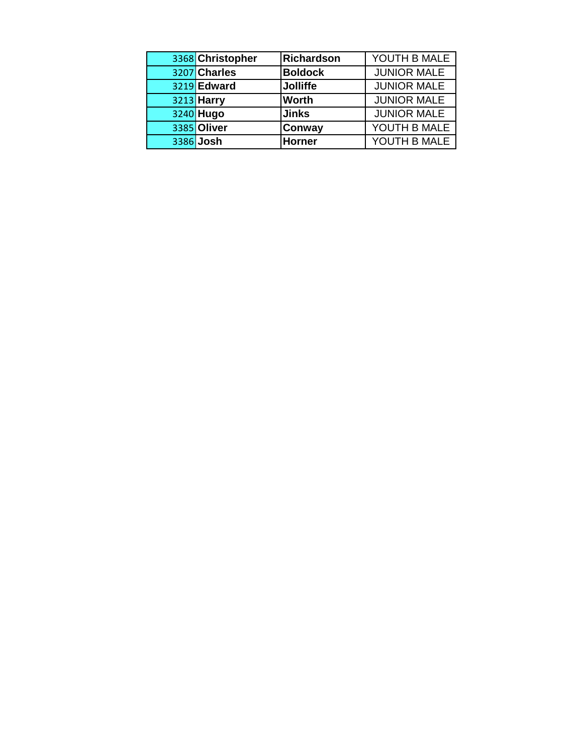| 3368 Christopher | <b>Richardson</b> | YOUTH B MALE       |
|------------------|-------------------|--------------------|
| 3207 Charles     | <b>Boldock</b>    | <b>JUNIOR MALE</b> |
| 3219 Edward      | <b>Jolliffe</b>   | <b>JUNIOR MALE</b> |
| 3213 Harry       | <b>Worth</b>      | <b>JUNIOR MALE</b> |
| 3240 Hugo        | <b>Jinks</b>      | <b>JUNIOR MALE</b> |
| 3385 Oliver      | <b>Conway</b>     | YOUTH B MALE       |
| 3386 Josh        | <b>Horner</b>     | YOUTH B MALE       |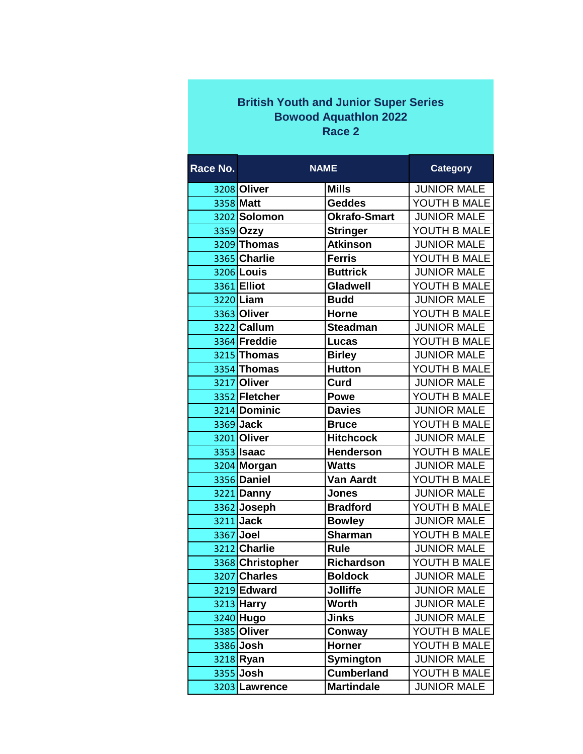## **British Youth and Junior Super Series Bowood Aquathlon 2022 Race 2**

| Race No. | <b>NAME</b>       |                     | <b>Category</b>    |
|----------|-------------------|---------------------|--------------------|
|          | 3208 Oliver       | <b>Mills</b>        | <b>JUNIOR MALE</b> |
|          | 3358 Matt         | <b>Geddes</b>       | YOUTH B MALE       |
|          | 3202 Solomon      | <b>Okrafo-Smart</b> | <b>JUNIOR MALE</b> |
|          | 3359 Ozzy         | <b>Stringer</b>     | YOUTH B MALE       |
|          | 3209 Thomas       | <b>Atkinson</b>     | <b>JUNIOR MALE</b> |
|          | 3365 Charlie      | <b>Ferris</b>       | YOUTH B MALE       |
|          | 3206 Louis        | <b>Buttrick</b>     | <b>JUNIOR MALE</b> |
|          | 3361 Elliot       | Gladwell            | YOUTH B MALE       |
|          | 3220 Liam         | <b>Budd</b>         | <b>JUNIOR MALE</b> |
|          | 3363 Oliver       | <b>Horne</b>        | YOUTH B MALE       |
|          | 3222 Callum       | <b>Steadman</b>     | <b>JUNIOR MALE</b> |
|          | 3364 Freddie      | Lucas               | YOUTH B MALE       |
|          | 3215 Thomas       | <b>Birley</b>       | <b>JUNIOR MALE</b> |
|          | 3354 Thomas       | <b>Hutton</b>       | YOUTH B MALE       |
|          | 3217 Oliver       | Curd                | <b>JUNIOR MALE</b> |
|          | 3352 Fletcher     | <b>Powe</b>         | YOUTH B MALE       |
|          | 3214 Dominic      | <b>Davies</b>       | <b>JUNIOR MALE</b> |
|          | 3369 Jack         | <b>Bruce</b>        | YOUTH B MALE       |
|          | 3201 Oliver       | <b>Hitchcock</b>    | <b>JUNIOR MALE</b> |
|          | 3353 <b>Isaac</b> | <b>Henderson</b>    | YOUTH B MALE       |
|          | 3204 Morgan       | <b>Watts</b>        | <b>JUNIOR MALE</b> |
|          | 3356 Daniel       | <b>Van Aardt</b>    | YOUTH B MALE       |
|          | 3221 Danny        | <b>Jones</b>        | <b>JUNIOR MALE</b> |
|          | 3362 Joseph       | <b>Bradford</b>     | YOUTH B MALE       |
|          | 3211 Jack         | <b>Bowley</b>       | <b>JUNIOR MALE</b> |
|          | 3367 Joel         | <b>Sharman</b>      | YOUTH B MALE       |
|          | 3212 Charlie      | <b>Rule</b>         | <b>JUNIOR MALE</b> |
|          | 3368 Christopher  | <b>Richardson</b>   | YOUTH B MALE       |
|          | 3207 Charles      | <b>Boldock</b>      | <b>JUNIOR MALE</b> |
|          | 3219 Edward       | Jolliffe            | <b>JUNIOR MALE</b> |
|          | 3213 Harry        | <b>Worth</b>        | <b>JUNIOR MALE</b> |
|          | 3240 Hugo         | Jinks               | <b>JUNIOR MALE</b> |
|          | 3385 Oliver       | Conway              | YOUTH B MALE       |
|          | 3386 Josh         | <b>Horner</b>       | YOUTH B MALE       |
|          | 3218 Ryan         | <b>Symington</b>    | <b>JUNIOR MALE</b> |
|          | 3355 Josh         | <b>Cumberland</b>   | YOUTH B MALE       |
|          | 3203 Lawrence     | <b>Martindale</b>   | <b>JUNIOR MALE</b> |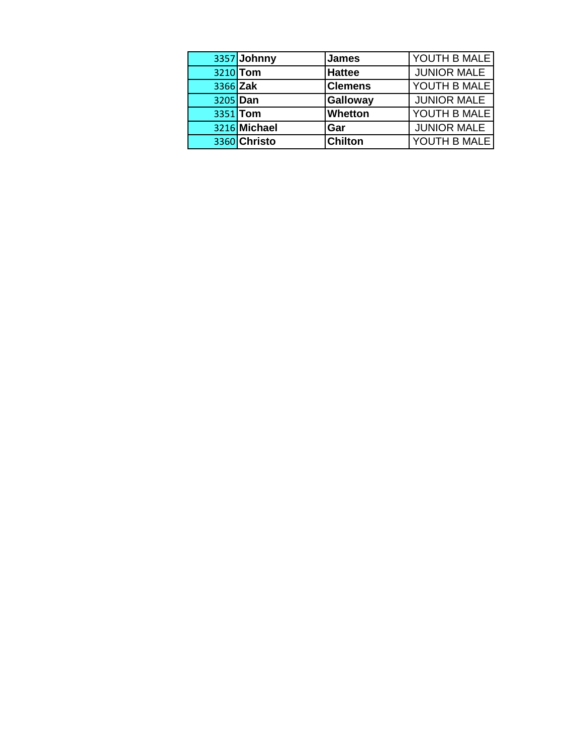|          | 3357 Johnny  | <b>James</b>    | YOUTH B MALE       |
|----------|--------------|-----------------|--------------------|
|          | 3210 Tom     | <b>Hattee</b>   | <b>JUNIOR MALE</b> |
| 3366 Zak |              | <b>Clemens</b>  | YOUTH B MALE       |
| 3205 Dan |              | <b>Galloway</b> | <b>JUNIOR MALE</b> |
|          | 3351 Tom     | <b>Whetton</b>  | YOUTH B MALE       |
|          | 3216 Michael | <b>Gar</b>      | <b>JUNIOR MALE</b> |
|          | 3360 Christo | <b>Chilton</b>  | YOUTH B MALE       |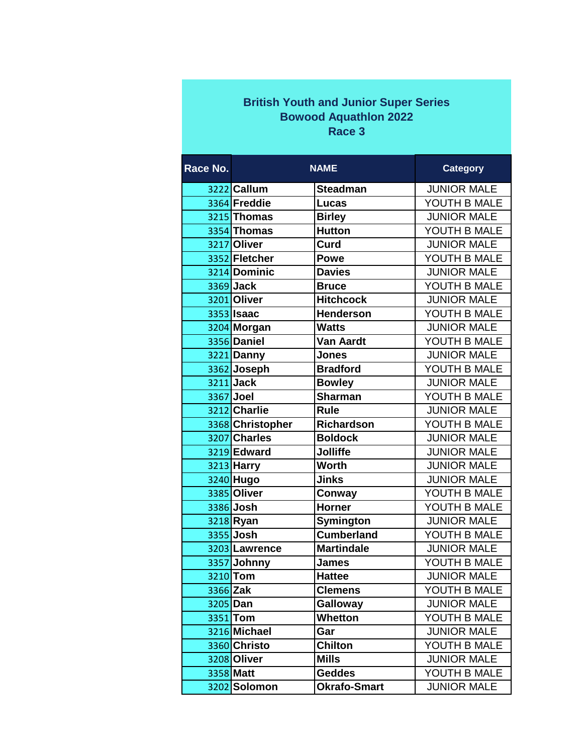## **British Youth and Junior Super Series Bowood Aquathlon 2022 Race 3**

| Race No. |                   | <b>NAME</b>         | <b>Category</b>    |
|----------|-------------------|---------------------|--------------------|
|          | 3222 Callum       | <b>Steadman</b>     | <b>JUNIOR MALE</b> |
|          | 3364 Freddie      | Lucas               | YOUTH B MALE       |
|          | 3215 Thomas       | <b>Birley</b>       | <b>JUNIOR MALE</b> |
|          | 3354 Thomas       | <b>Hutton</b>       | YOUTH B MALE       |
|          | 3217 Oliver       | Curd                | <b>JUNIOR MALE</b> |
|          | 3352 Fletcher     | <b>Powe</b>         | YOUTH B MALE       |
|          | 3214 Dominic      | <b>Davies</b>       | <b>JUNIOR MALE</b> |
|          | 3369 Jack         | <b>Bruce</b>        | YOUTH B MALE       |
|          | 3201 Oliver       | <b>Hitchcock</b>    | <b>JUNIOR MALE</b> |
|          | 3353 <b>Isaac</b> | <b>Henderson</b>    | YOUTH B MALE       |
|          | 3204 Morgan       | <b>Watts</b>        | <b>JUNIOR MALE</b> |
|          | 3356 Daniel       | <b>Van Aardt</b>    | YOUTH B MALE       |
|          | 3221 Danny        | <b>Jones</b>        | <b>JUNIOR MALE</b> |
|          | 3362 Joseph       | <b>Bradford</b>     | YOUTH B MALE       |
|          | 3211 Jack         | <b>Bowley</b>       | <b>JUNIOR MALE</b> |
|          | 3367 Joel         | <b>Sharman</b>      | YOUTH B MALE       |
|          | 3212 Charlie      | <b>Rule</b>         | <b>JUNIOR MALE</b> |
|          | 3368 Christopher  | <b>Richardson</b>   | YOUTH B MALE       |
|          | 3207 Charles      | <b>Boldock</b>      | <b>JUNIOR MALE</b> |
|          | 3219 Edward       | <b>Jolliffe</b>     | <b>JUNIOR MALE</b> |
|          | 3213 Harry        | <b>Worth</b>        | <b>JUNIOR MALE</b> |
|          | 3240 Hugo         | <b>Jinks</b>        | <b>JUNIOR MALE</b> |
|          | 3385 Oliver       | Conway              | YOUTH B MALE       |
|          | 3386 Josh         | <b>Horner</b>       | YOUTH B MALE       |
|          | 3218 Ryan         | Symington           | <b>JUNIOR MALE</b> |
|          | 3355 Josh         | <b>Cumberland</b>   | YOUTH B MALE       |
|          | 3203 Lawrence     | <b>Martindale</b>   | <b>JUNIOR MALE</b> |
|          | 3357 Johnny       | <b>James</b>        | YOUTH B MALE       |
|          | 3210 Tom          | <b>Hattee</b>       | <b>JUNIOR MALE</b> |
|          | 3366 Zak          | <b>Clemens</b>      | YOUTH B MALE       |
|          | 3205 Dan          | <b>Galloway</b>     | <b>JUNIOR MALE</b> |
|          | 3351 Tom          | <b>Whetton</b>      | YOUTH B MALE       |
|          | 3216 Michael      | Gar                 | <b>JUNIOR MALE</b> |
|          | 3360 Christo      | <b>Chilton</b>      | YOUTH B MALE       |
|          | 3208 Oliver       | <b>Mills</b>        | <b>JUNIOR MALE</b> |
|          | 3358 Matt         | <b>Geddes</b>       | YOUTH B MALE       |
|          | 3202 Solomon      | <b>Okrafo-Smart</b> | <b>JUNIOR MALE</b> |